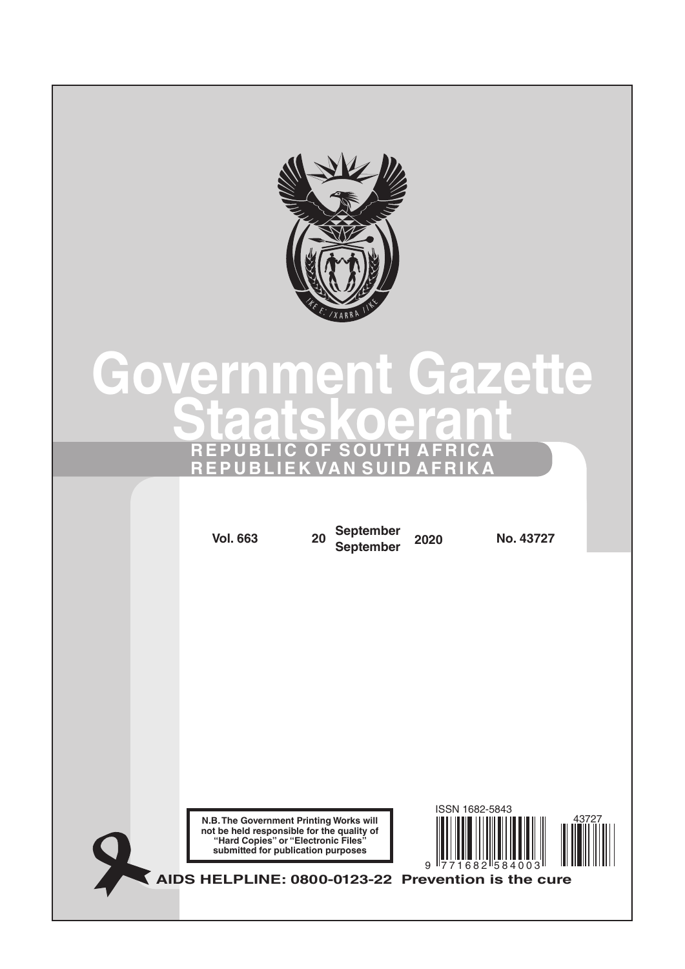

# **Government Gazette Staatskoerant REPUBLIC OF SOUTH AFRICA REPUBLIEK VAN SUID AFRIKA**

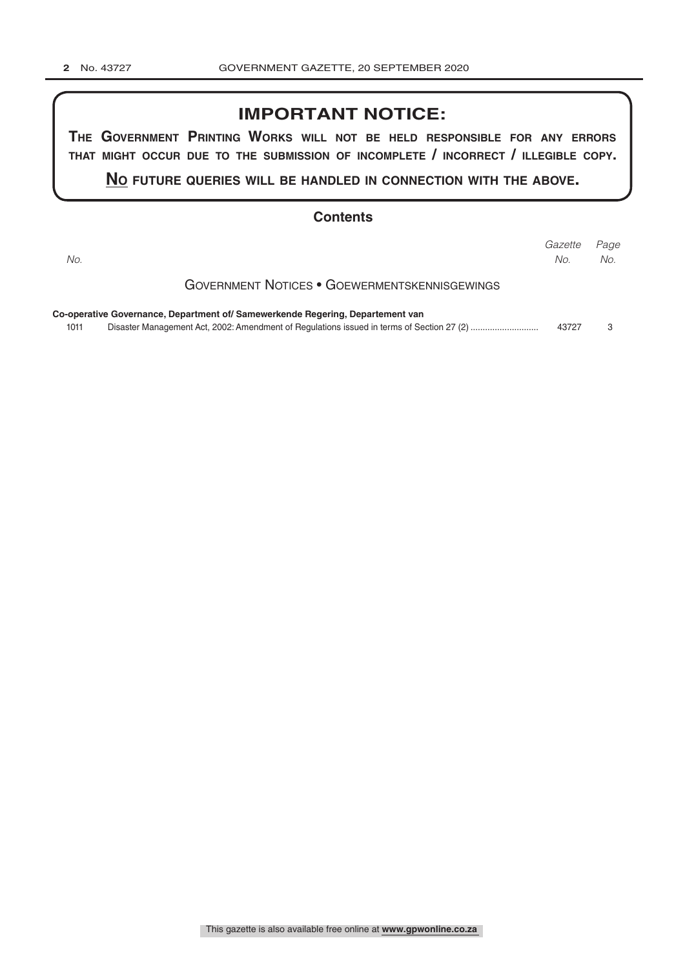# **IMPORTANT NOTICE:**

**The GovernmenT PrinTinG Works Will noT be held resPonsible for any errors ThaT miGhT occur due To The submission of incomPleTe / incorrecT / illeGible coPy.**

**no fuTure queries Will be handled in connecTion WiTh The above.**

# **Contents**

| No.  |                                                                                | Gazette<br>No. | Page<br>No. |
|------|--------------------------------------------------------------------------------|----------------|-------------|
|      | <b>GOVERNMENT NOTICES • GOEWERMENTSKENNISGEWINGS</b>                           |                |             |
| 1011 | Co-operative Governance, Department of/ Samewerkende Regering, Departement van | 43727          | 3           |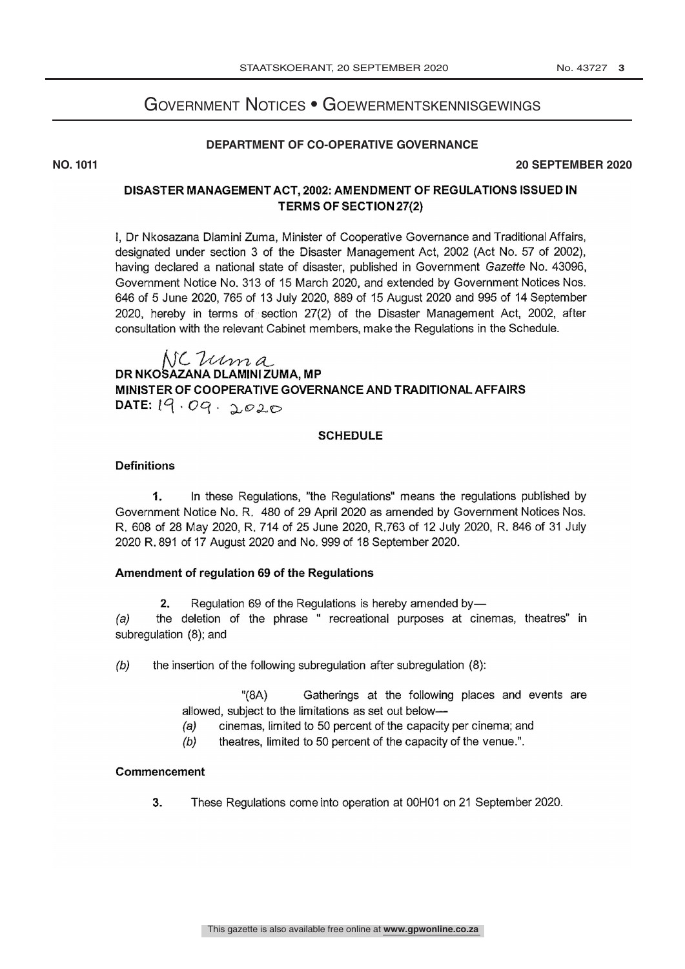# EC • GOEWEDMENTSKENNISC GOVERNMENT NOTICES • GOEWERMENTSKENNISGEWINGS

## **DEPARTMENT OF CO-OPERATIVE GOVERNANCE**

#### **NO. 1011 20 SEPTEMBER 2020**

# DISASTER MANAGEMENT ACT, 2002: AMENDMENT OF REGULATIONS ISSUED IN TERMS OF SECTION 27(2)

I, Dr Nkosazana Diamini Zuma, Minister of Cooperative Governance and Traditional Affairs, designated under section 3 of the Disaster Management Act, 2002 (Act No. 57 of 2002), having declared a national state of disaster, published in Government Gazette No. 43096, Government Notice No. 313 of 15 March 2020, and extended by Government Notices Nos. 646 of 5 June 2020, 765 of 13 July 2020, 889 of 15 August 2020 and 995 of 14 September 2020, hereby in terms of section 27(2) of the Disaster Management Act, 2002, after consultation with the relevant Cabinet members, make the Regulations in the Schedule.

# NC Uma DR NKOSAZANA DLAMINI ZUMA, MP MINISTER OF COOPERATIVE GOVERNANCE AND TRADITIONAL AFFAIRS DATE:  $19.09.0020$

# **SCHEDULE**

## **Definitions**

1. In these Regulations, "the Regulations" means the regulations published by Government Notice No. R. 480 of 29 April 2020 as amended by Government Notices Nos. R. 608 of 28 May 2020, R. 714 of 25 June 2020, R.763 of 12 July 2020, R. 846 of 31 July 2020 R. 891 of 17 August 2020 and No. 999 of 18 September 2020.

## Amendment of regulation 69 of the Regulations

2. Regulation 69 of the Regulations is hereby amended by-

(a) the deletion of the phrase " recreational purposes at cinemas, theatres" in subregulation (8); and

 $(b)$  the insertion of the following subregulation after subregulation  $(8)$ :

"(8A) Gatherings at the following places and events are allowed, subject to the limitations as set out below-

- (a) cinemas, limited to 50 percent of the capacity per cinema; and
- $(b)$  theatres, limited to 50 percent of the capacity of the venue.".

#### Commencement

3. These Regulations come into operation at 00H01 on 21 September 2020.